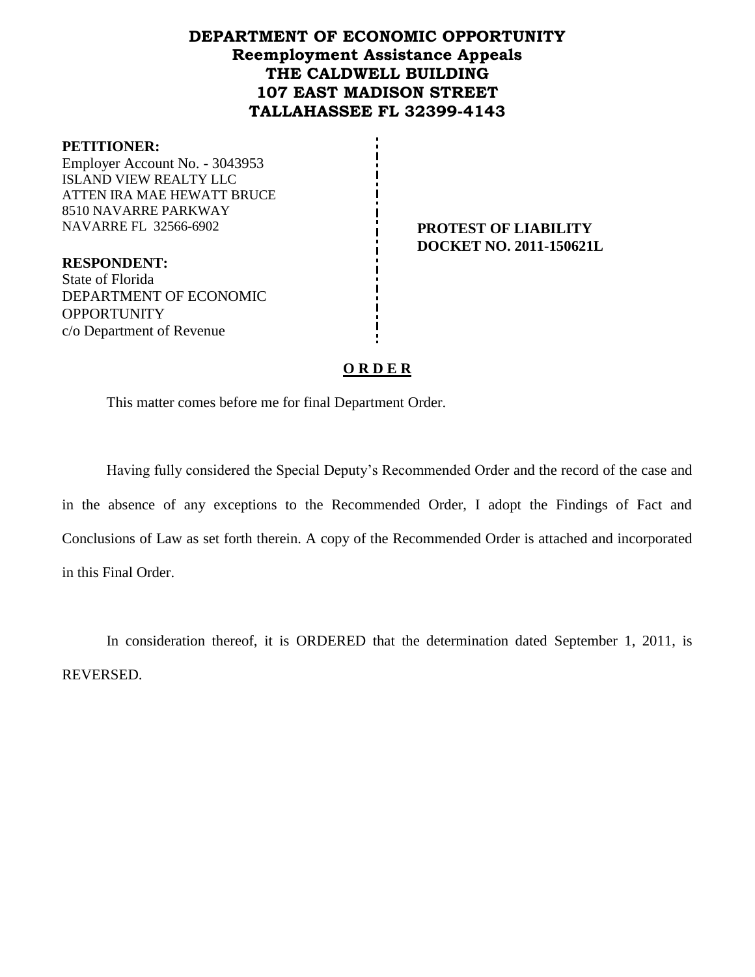# **DEPARTMENT OF ECONOMIC OPPORTUNITY Reemployment Assistance Appeals THE CALDWELL BUILDING 107 EAST MADISON STREET TALLAHASSEE FL 32399-4143**

#### **PETITIONER:**

Employer Account No. - 3043953 ISLAND VIEW REALTY LLC ATTEN IRA MAE HEWATT BRUCE 8510 NAVARRE PARKWAY NAVARRE FL 32566-6902 **PROTEST OF LIABILITY**

**DOCKET NO. 2011-150621L**

**RESPONDENT:** State of Florida DEPARTMENT OF ECONOMIC **OPPORTUNITY** c/o Department of Revenue

## **O R D E R**

This matter comes before me for final Department Order.

Having fully considered the Special Deputy's Recommended Order and the record of the case and in the absence of any exceptions to the Recommended Order, I adopt the Findings of Fact and Conclusions of Law as set forth therein. A copy of the Recommended Order is attached and incorporated in this Final Order.

In consideration thereof, it is ORDERED that the determination dated September 1, 2011, is REVERSED.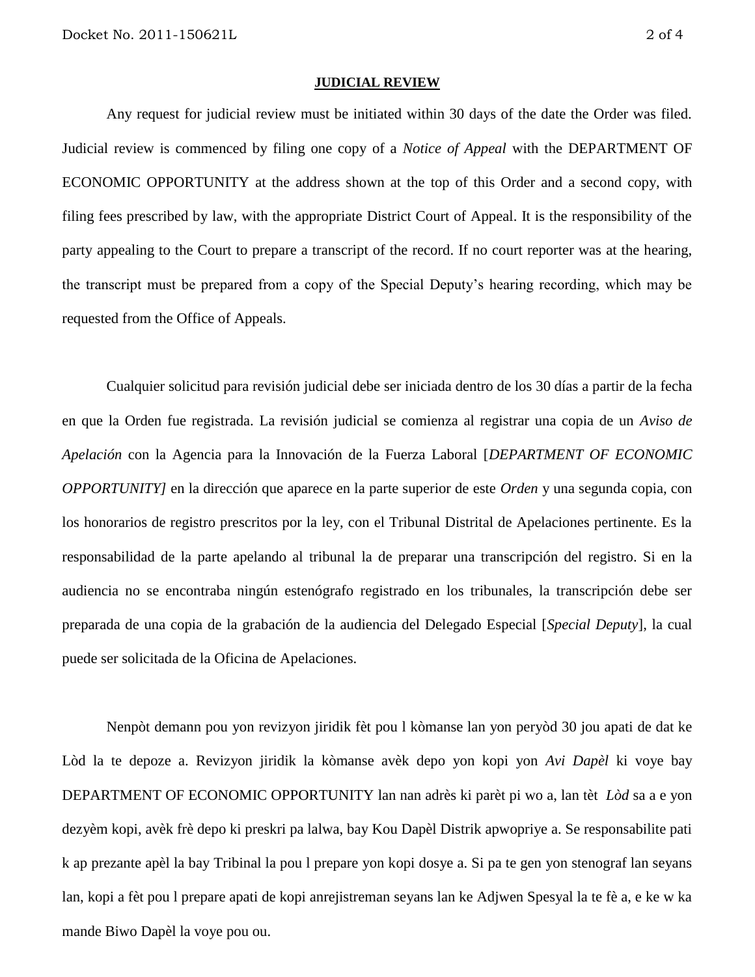#### **JUDICIAL REVIEW**

Any request for judicial review must be initiated within 30 days of the date the Order was filed. Judicial review is commenced by filing one copy of a *Notice of Appeal* with the DEPARTMENT OF ECONOMIC OPPORTUNITY at the address shown at the top of this Order and a second copy, with filing fees prescribed by law, with the appropriate District Court of Appeal. It is the responsibility of the party appealing to the Court to prepare a transcript of the record. If no court reporter was at the hearing, the transcript must be prepared from a copy of the Special Deputy's hearing recording, which may be requested from the Office of Appeals.

Cualquier solicitud para revisión judicial debe ser iniciada dentro de los 30 días a partir de la fecha en que la Orden fue registrada. La revisión judicial se comienza al registrar una copia de un *Aviso de Apelación* con la Agencia para la Innovación de la Fuerza Laboral [*DEPARTMENT OF ECONOMIC OPPORTUNITY]* en la dirección que aparece en la parte superior de este *Orden* y una segunda copia, con los honorarios de registro prescritos por la ley, con el Tribunal Distrital de Apelaciones pertinente. Es la responsabilidad de la parte apelando al tribunal la de preparar una transcripción del registro. Si en la audiencia no se encontraba ningún estenógrafo registrado en los tribunales, la transcripción debe ser preparada de una copia de la grabación de la audiencia del Delegado Especial [*Special Deputy*], la cual puede ser solicitada de la Oficina de Apelaciones.

Nenpòt demann pou yon revizyon jiridik fèt pou l kòmanse lan yon peryòd 30 jou apati de dat ke Lòd la te depoze a. Revizyon jiridik la kòmanse avèk depo yon kopi yon *Avi Dapèl* ki voye bay DEPARTMENT OF ECONOMIC OPPORTUNITY lan nan adrès ki parèt pi wo a, lan tèt *Lòd* sa a e yon dezyèm kopi, avèk frè depo ki preskri pa lalwa, bay Kou Dapèl Distrik apwopriye a. Se responsabilite pati k ap prezante apèl la bay Tribinal la pou l prepare yon kopi dosye a. Si pa te gen yon stenograf lan seyans lan, kopi a fèt pou l prepare apati de kopi anrejistreman seyans lan ke Adjwen Spesyal la te fè a, e ke w ka mande Biwo Dapèl la voye pou ou.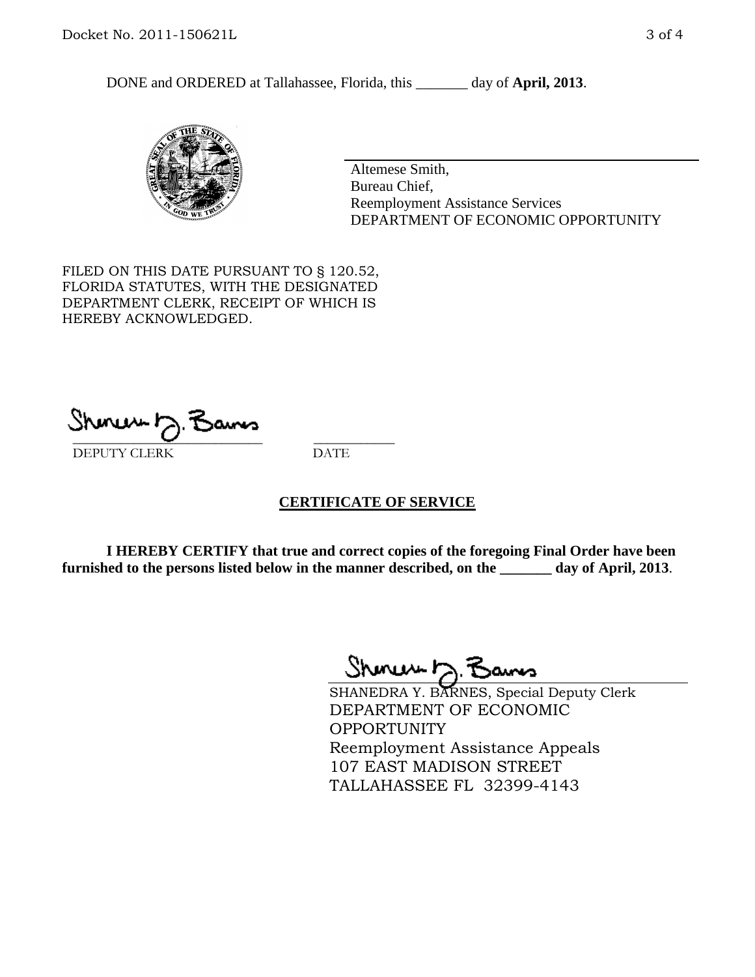DONE and ORDERED at Tallahassee, Florida, this \_\_\_\_\_\_\_ day of **April, 2013**.



Altemese Smith, Bureau Chief, Reemployment Assistance Services DEPARTMENT OF ECONOMIC OPPORTUNITY

FILED ON THIS DATE PURSUANT TO § 120.52, FLORIDA STATUTES, WITH THE DESIGNATED DEPARTMENT CLERK, RECEIPT OF WHICH IS HEREBY ACKNOWLEDGED.

 $\overline{\phantom{a}}$  ,  $\overline{\phantom{a}}$  ,  $\overline{\phantom{a}}$  ,  $\overline{\phantom{a}}$  ,  $\overline{\phantom{a}}$  ,  $\overline{\phantom{a}}$  ,  $\overline{\phantom{a}}$  ,  $\overline{\phantom{a}}$ DEPUTY CLERK DATE

## **CERTIFICATE OF SERVICE**

**I HEREBY CERTIFY that true and correct copies of the foregoing Final Order have been furnished to the persons listed below in the manner described, on the \_\_\_\_\_\_\_ day of April, 2013**.

Shmun h.F

SHANEDRA Y. BARNES, Special Deputy Clerk DEPARTMENT OF ECONOMIC **OPPORTUNITY** Reemployment Assistance Appeals 107 EAST MADISON STREET TALLAHASSEE FL 32399-4143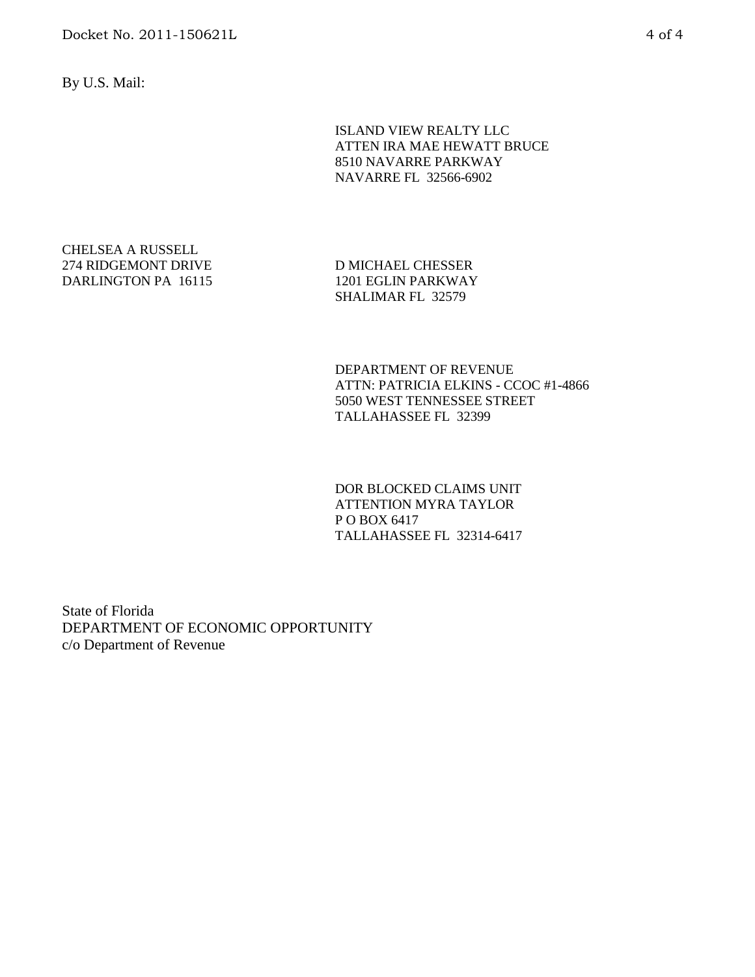By U.S. Mail:

ISLAND VIEW REALTY LLC ATTEN IRA MAE HEWATT BRUCE 8510 NAVARRE PARKWAY NAVARRE FL 32566-6902

CHELSEA A RUSSELL 274 RIDGEMONT DRIVE DARLINGTON PA 16115

D MICHAEL CHESSER 1201 EGLIN PARKWAY SHALIMAR FL 32579

DEPARTMENT OF REVENUE ATTN: PATRICIA ELKINS - CCOC #1-4866 5050 WEST TENNESSEE STREET TALLAHASSEE FL 32399

DOR BLOCKED CLAIMS UNIT ATTENTION MYRA TAYLOR P O BOX 6417 TALLAHASSEE FL 32314-6417

State of Florida DEPARTMENT OF ECONOMIC OPPORTUNITY c/o Department of Revenue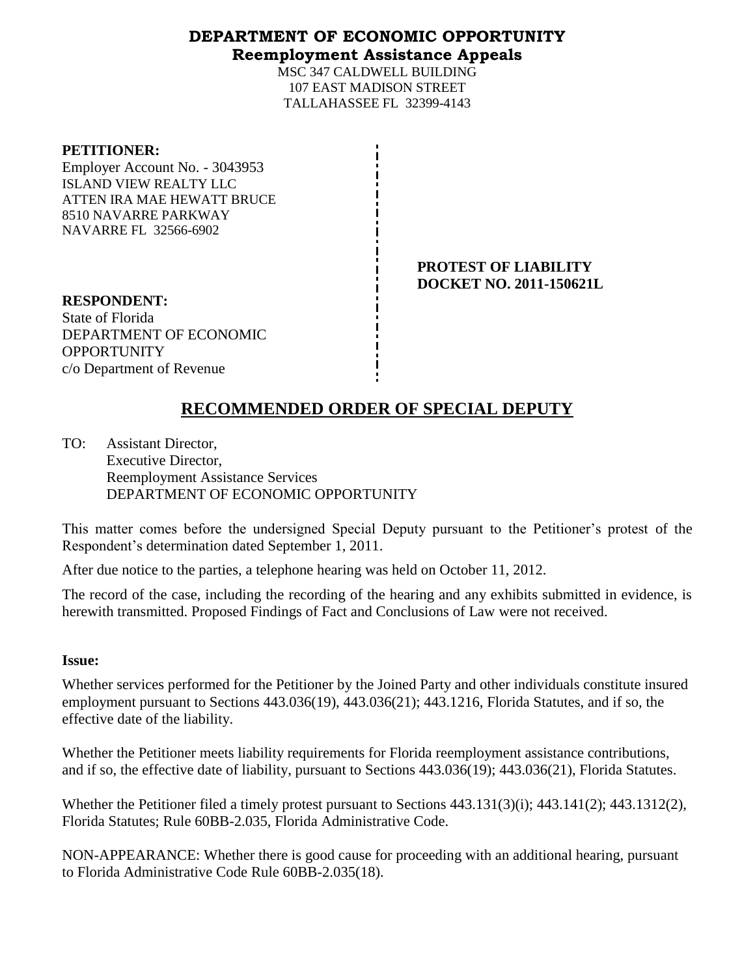## **DEPARTMENT OF ECONOMIC OPPORTUNITY Reemployment Assistance Appeals**

MSC 347 CALDWELL BUILDING 107 EAST MADISON STREET TALLAHASSEE FL 32399-4143

### **PETITIONER:**

Employer Account No. - 3043953 ISLAND VIEW REALTY LLC ATTEN IRA MAE HEWATT BRUCE 8510 NAVARRE PARKWAY NAVARRE FL 32566-6902

> **PROTEST OF LIABILITY DOCKET NO. 2011-150621L**

**RESPONDENT:** State of Florida DEPARTMENT OF ECONOMIC **OPPORTUNITY** c/o Department of Revenue

# **RECOMMENDED ORDER OF SPECIAL DEPUTY**

TO: Assistant Director, Executive Director, Reemployment Assistance Services DEPARTMENT OF ECONOMIC OPPORTUNITY

This matter comes before the undersigned Special Deputy pursuant to the Petitioner's protest of the Respondent's determination dated September 1, 2011.

After due notice to the parties, a telephone hearing was held on October 11, 2012.

The record of the case, including the recording of the hearing and any exhibits submitted in evidence, is herewith transmitted. Proposed Findings of Fact and Conclusions of Law were not received.

## **Issue:**

Whether services performed for the Petitioner by the Joined Party and other individuals constitute insured employment pursuant to Sections 443.036(19), 443.036(21); 443.1216, Florida Statutes, and if so, the effective date of the liability.

Whether the Petitioner meets liability requirements for Florida reemployment assistance contributions, and if so, the effective date of liability, pursuant to Sections 443.036(19); 443.036(21), Florida Statutes.

Whether the Petitioner filed a timely protest pursuant to Sections 443.131(3)(i); 443.141(2); 443.1312(2), Florida Statutes; Rule 60BB-2.035, Florida Administrative Code.

NON-APPEARANCE: Whether there is good cause for proceeding with an additional hearing, pursuant to Florida Administrative Code Rule 60BB-2.035(18).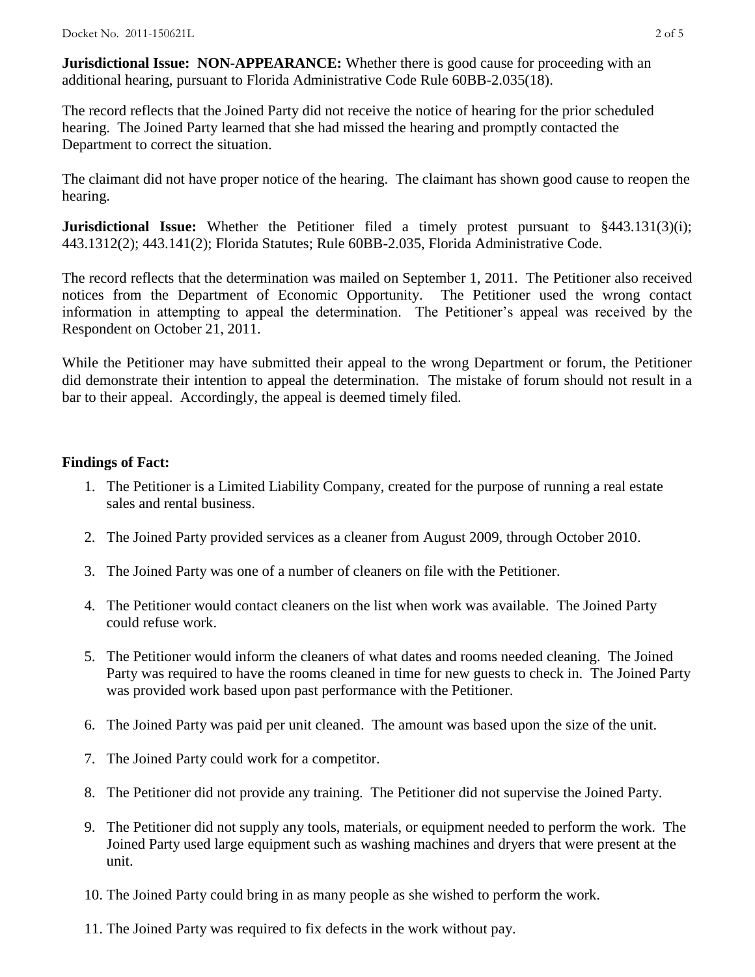**Jurisdictional Issue: NON-APPEARANCE:** Whether there is good cause for proceeding with an additional hearing, pursuant to Florida Administrative Code Rule 60BB-2.035(18).

The record reflects that the Joined Party did not receive the notice of hearing for the prior scheduled hearing. The Joined Party learned that she had missed the hearing and promptly contacted the Department to correct the situation.

The claimant did not have proper notice of the hearing. The claimant has shown good cause to reopen the hearing.

**Jurisdictional Issue:** Whether the Petitioner filed a timely protest pursuant to §443.131(3)(i); 443.1312(2); 443.141(2); Florida Statutes; Rule 60BB-2.035, Florida Administrative Code.

The record reflects that the determination was mailed on September 1, 2011. The Petitioner also received notices from the Department of Economic Opportunity. The Petitioner used the wrong contact information in attempting to appeal the determination. The Petitioner's appeal was received by the Respondent on October 21, 2011.

While the Petitioner may have submitted their appeal to the wrong Department or forum, the Petitioner did demonstrate their intention to appeal the determination. The mistake of forum should not result in a bar to their appeal. Accordingly, the appeal is deemed timely filed.

## **Findings of Fact:**

- 1. The Petitioner is a Limited Liability Company, created for the purpose of running a real estate sales and rental business.
- 2. The Joined Party provided services as a cleaner from August 2009, through October 2010.
- 3. The Joined Party was one of a number of cleaners on file with the Petitioner.
- 4. The Petitioner would contact cleaners on the list when work was available. The Joined Party could refuse work.
- 5. The Petitioner would inform the cleaners of what dates and rooms needed cleaning. The Joined Party was required to have the rooms cleaned in time for new guests to check in. The Joined Party was provided work based upon past performance with the Petitioner.
- 6. The Joined Party was paid per unit cleaned. The amount was based upon the size of the unit.
- 7. The Joined Party could work for a competitor.
- 8. The Petitioner did not provide any training. The Petitioner did not supervise the Joined Party.
- 9. The Petitioner did not supply any tools, materials, or equipment needed to perform the work. The Joined Party used large equipment such as washing machines and dryers that were present at the unit.
- 10. The Joined Party could bring in as many people as she wished to perform the work.
- 11. The Joined Party was required to fix defects in the work without pay.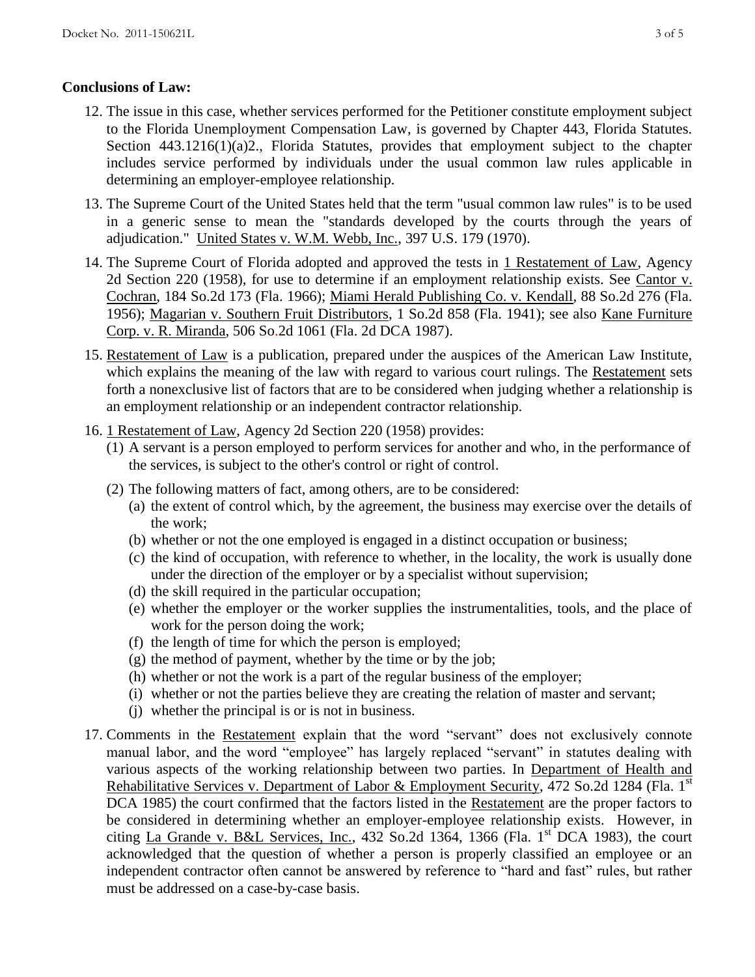## **Conclusions of Law:**

- 12. The issue in this case, whether services performed for the Petitioner constitute employment subject to the Florida Unemployment Compensation Law, is governed by Chapter 443, Florida Statutes. Section 443.1216(1)(a)2., Florida Statutes, provides that employment subject to the chapter includes service performed by individuals under the usual common law rules applicable in determining an employer-employee relationship.
- 13. The Supreme Court of the United States held that the term "usual common law rules" is to be used in a generic sense to mean the "standards developed by the courts through the years of adjudication." United States v. W.M. Webb, Inc., 397 U.S. 179 (1970).
- 14. The Supreme Court of Florida adopted and approved the tests in 1 Restatement of Law, Agency 2d Section 220 (1958), for use to determine if an employment relationship exists. See Cantor v. Cochran, 184 So.2d 173 (Fla. 1966); Miami Herald Publishing Co. v. Kendall, 88 So.2d 276 (Fla. 1956); Magarian v. Southern Fruit Distributors, 1 So.2d 858 (Fla. 1941); see also Kane Furniture Corp. v. R. Miranda, 506 So.2d 1061 (Fla. 2d DCA 1987).
- 15. Restatement of Law is a publication, prepared under the auspices of the American Law Institute, which explains the meaning of the law with regard to various court rulings. The Restatement sets forth a nonexclusive list of factors that are to be considered when judging whether a relationship is an employment relationship or an independent contractor relationship.
- 16. 1 Restatement of Law, Agency 2d Section 220 (1958) provides:
	- (1) A servant is a person employed to perform services for another and who, in the performance of the services, is subject to the other's control or right of control.
	- (2) The following matters of fact, among others, are to be considered:
		- (a) the extent of control which, by the agreement, the business may exercise over the details of the work;
		- (b) whether or not the one employed is engaged in a distinct occupation or business;
		- (c) the kind of occupation, with reference to whether, in the locality, the work is usually done under the direction of the employer or by a specialist without supervision;
		- (d) the skill required in the particular occupation;
		- (e) whether the employer or the worker supplies the instrumentalities, tools, and the place of work for the person doing the work;
		- (f) the length of time for which the person is employed;
		- $(g)$  the method of payment, whether by the time or by the job;
		- (h) whether or not the work is a part of the regular business of the employer;
		- (i) whether or not the parties believe they are creating the relation of master and servant;
		- (j) whether the principal is or is not in business.
- 17. Comments in the Restatement explain that the word "servant" does not exclusively connote manual labor, and the word "employee" has largely replaced "servant" in statutes dealing with various aspects of the working relationship between two parties. In Department of Health and Rehabilitative Services v. Department of Labor & Employment Security, 472 So.2d 1284 (Fla. 1<sup>st</sup>) DCA 1985) the court confirmed that the factors listed in the Restatement are the proper factors to be considered in determining whether an employer-employee relationship exists. However, in citing La Grande v. B&L Services, Inc., 432 So.2d 1364, 1366 (Fla. 1st DCA 1983), the court acknowledged that the question of whether a person is properly classified an employee or an independent contractor often cannot be answered by reference to "hard and fast" rules, but rather must be addressed on a case-by-case basis.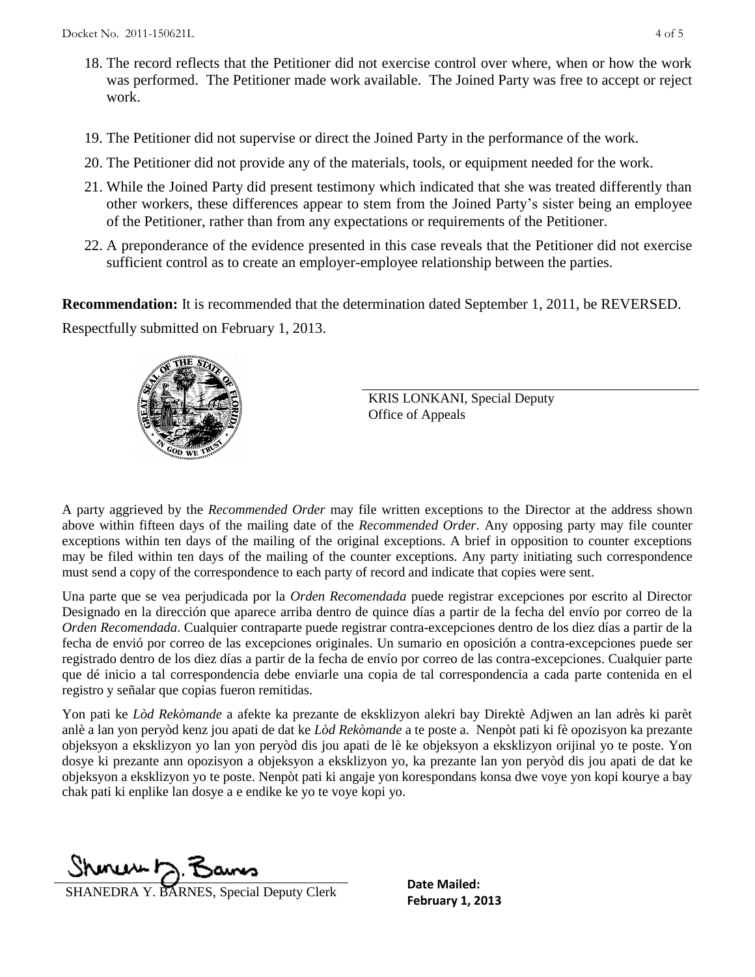- 18. The record reflects that the Petitioner did not exercise control over where, when or how the work was performed. The Petitioner made work available. The Joined Party was free to accept or reject work.
- 19. The Petitioner did not supervise or direct the Joined Party in the performance of the work.
- 20. The Petitioner did not provide any of the materials, tools, or equipment needed for the work.
- 21. While the Joined Party did present testimony which indicated that she was treated differently than other workers, these differences appear to stem from the Joined Party's sister being an employee of the Petitioner, rather than from any expectations or requirements of the Petitioner.
- 22. A preponderance of the evidence presented in this case reveals that the Petitioner did not exercise sufficient control as to create an employer-employee relationship between the parties.

**Recommendation:** It is recommended that the determination dated September 1, 2011, be REVERSED. Respectfully submitted on February 1, 2013.



KRIS LONKANI, Special Deputy Office of Appeals

A party aggrieved by the *Recommended Order* may file written exceptions to the Director at the address shown above within fifteen days of the mailing date of the *Recommended Order*. Any opposing party may file counter exceptions within ten days of the mailing of the original exceptions. A brief in opposition to counter exceptions may be filed within ten days of the mailing of the counter exceptions. Any party initiating such correspondence must send a copy of the correspondence to each party of record and indicate that copies were sent.

Una parte que se vea perjudicada por la *Orden Recomendada* puede registrar excepciones por escrito al Director Designado en la dirección que aparece arriba dentro de quince días a partir de la fecha del envío por correo de la *Orden Recomendada*. Cualquier contraparte puede registrar contra-excepciones dentro de los diez días a partir de la fecha de envió por correo de las excepciones originales. Un sumario en oposición a contra-excepciones puede ser registrado dentro de los diez días a partir de la fecha de envío por correo de las contra-excepciones. Cualquier parte que dé inicio a tal correspondencia debe enviarle una copia de tal correspondencia a cada parte contenida en el registro y señalar que copias fueron remitidas.

Yon pati ke *Lòd Rekòmande* a afekte ka prezante de eksklizyon alekri bay Direktè Adjwen an lan adrès ki parèt anlè a lan yon peryòd kenz jou apati de dat ke *Lòd Rekòmande* a te poste a. Nenpòt pati ki fè opozisyon ka prezante objeksyon a eksklizyon yo lan yon peryòd dis jou apati de lè ke objeksyon a eksklizyon orijinal yo te poste. Yon dosye ki prezante ann opozisyon a objeksyon a eksklizyon yo, ka prezante lan yon peryòd dis jou apati de dat ke objeksyon a eksklizyon yo te poste. Nenpòt pati ki angaje yon korespondans konsa dwe voye yon kopi kourye a bay chak pati ki enplike lan dosye a e endike ke yo te voye kopi yo.

Shonew D. Bans

**FRAMEDRA Y. BARNES, Special Deputy Clerk Date Mailed:**<br>**February 1, 2013** 

**Date Mailed:**